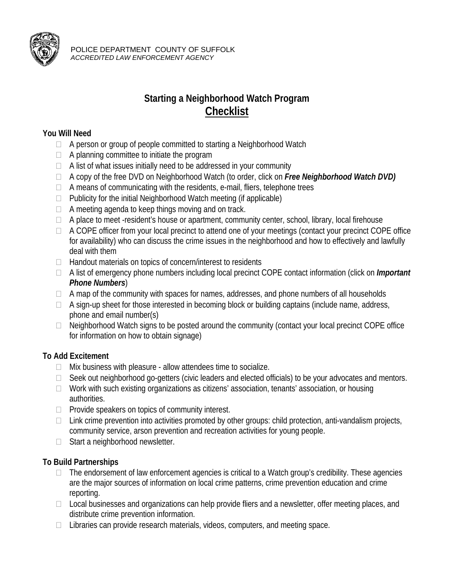

POLICE DEPARTMENT COUNTY OF SUFFOLK *ACCREDITED LAW ENFORCEMENT AGENCY* 

## **Starting a Neighborhood Watch Program Checklist**

## **You Will Need**

- $\Box$  A person or group of people committed to starting a Neighborhood Watch
- $\Box$  A planning committee to initiate the program
- $\Box$  A list of what issues initially need to be addressed in your community
- A copy of the free DVD on Neighborhood Watch (to order, click on *Free Neighborhood Watch DVD)*
- $\Box$  A means of communicating with the residents, e-mail, fliers, telephone trees
- $\Box$  Publicity for the initial Neighborhood Watch meeting (if applicable)
- $\Box$  A meeting agenda to keep things moving and on track.
- $\Box$  A place to meet -resident's house or apartment, community center, school, library, local firehouse
- $\Box$  A COPE officer from your local precinct to attend one of your meetings (contact your precinct COPE office for availability) who can discuss the crime issues in the neighborhood and how to effectively and lawfully deal with them
- $\Box$  Handout materials on topics of concern/interest to residents
- A list of emergency phone numbers including local precinct COPE contact information (click on *Important Phone Numbers*)
- $\Box$  A map of the community with spaces for names, addresses, and phone numbers of all households
- $\Box$  A sign-up sheet for those interested in becoming block or building captains (include name, address, phone and email number(s)
- $\Box$  Neighborhood Watch signs to be posted around the community (contact your local precinct COPE office for information on how to obtain signage)

## **To Add Excitement**

- $\Box$  Mix business with pleasure allow attendees time to socialize.
- □ Seek out neighborhood go-getters (civic leaders and elected officials) to be your advocates and mentors.
- $\Box$  Work with such existing organizations as citizens' association, tenants' association, or housing authorities.
- $\Box$  Provide speakers on topics of community interest.
- $\Box$  Link crime prevention into activities promoted by other groups: child protection, anti-vandalism projects, community service, arson prevention and recreation activities for young people.
- $\Box$  Start a neighborhood newsletter.

## **To Build Partnerships**

- $\Box$  The endorsement of law enforcement agencies is critical to a Watch group's credibility. These agencies are the major sources of information on local crime patterns, crime prevention education and crime reporting.
- $\Box$  Local businesses and organizations can help provide fliers and a newsletter, offer meeting places, and distribute crime prevention information.
- $\Box$  Libraries can provide research materials, videos, computers, and meeting space.